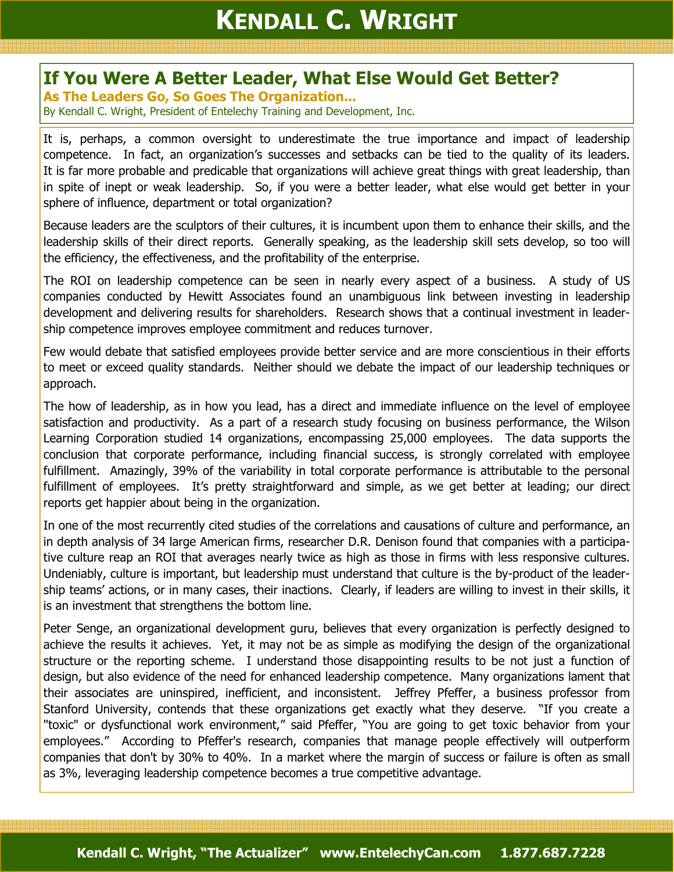## If You Were A Better Leader, What Else Would Get Better?

As The Leaders Go, So Goes The Organization...

By Kendall C. Wright, President of Entelechy Training and Development, Inc.

It is, perhaps, a common oversight to underestimate the true importance and impact of leadership competence. In fact, an organization's successes and setbacks can be tied to the quality of its leaders. It is far more probable and predicable that organizations will achieve great things with great leadership, than in spite of inept or weak leadership. So, if you were a better leader, what else would get better in your sphere of influence, department or total organization?

Because leaders are the sculptors of their cultures, it is incumbent upon them to enhance their skills, and the leadership skills of their direct reports. Generally speaking, as the leadership skill sets develop, so too will the efficiency, the effectiveness, and the profitability of the enterprise.

The ROI on leadership competence can be seen in nearly every aspect of a business. A study of US companies conducted by Hewitt Associates found an unambiguous link between investing in leadership development and delivering results for shareholders. Research shows that a continual investment in leadership competence improves employee commitment and reduces turnover.

Few would debate that satisfied employees provide better service and are more conscientious in their efforts to meet or exceed quality standards. Neither should we debate the impact of our leadership techniques or approach.

The how of leadership, as in how you lead, has a direct and immediate influence on the level of employee satisfaction and productivity. As a part of a research study focusing on business performance, the Wilson Learning Corporation studied 14 organizations, encompassing 25,000 employees. The data supports the conclusion that corporate performance, including financial success, is strongly correlated with employee fulfillment. Amazingly, 39% of the variability in total corporate performance is attributable to the personal fulfillment of employees. It's pretty straightforward and simple, as we get better at leading; our direct reports get happier about being in the organization.

In one of the most recurrently cited studies of the correlations and causations of culture and performance, an in depth analysis of 34 large American firms, researcher D.R. Denison found that companies with a participative culture reap an ROI that averages nearly twice as high as those in firms with less responsive cultures. Undeniably, culture is important, but leadership must understand that culture is the by-product of the leadership teams' actions, or in many cases, their inactions. Clearly, if leaders are willing to invest in their skills, it is an investment that strengthens the bottom line.

Peter Senge, an organizational development guru, believes that every organization is perfectly designed to achieve the results it achieves. Yet, it may not be as simple as modifying the design of the organizational structure or the reporting scheme. I understand those disappointing results to be not just a function of design, but also evidence of the need for enhanced leadership competence. Many organizations lament that their associates are uninspired, inefficient, and inconsistent. Jeffrey Pfeffer, a business professor from Stanford University, contends that these organizations get exactly what they deserve. "If you create a "toxic" or dysfunctional work environment," said Pfeffer, "You are going to get toxic behavior from your employees." According to Pfeffer's research, companies that manage people effectively will outperform companies that don't by 30% to 40%. In a market where the margin of success or failure is often as small as 3%, leveraging leadership competence becomes a true competitive advantage.